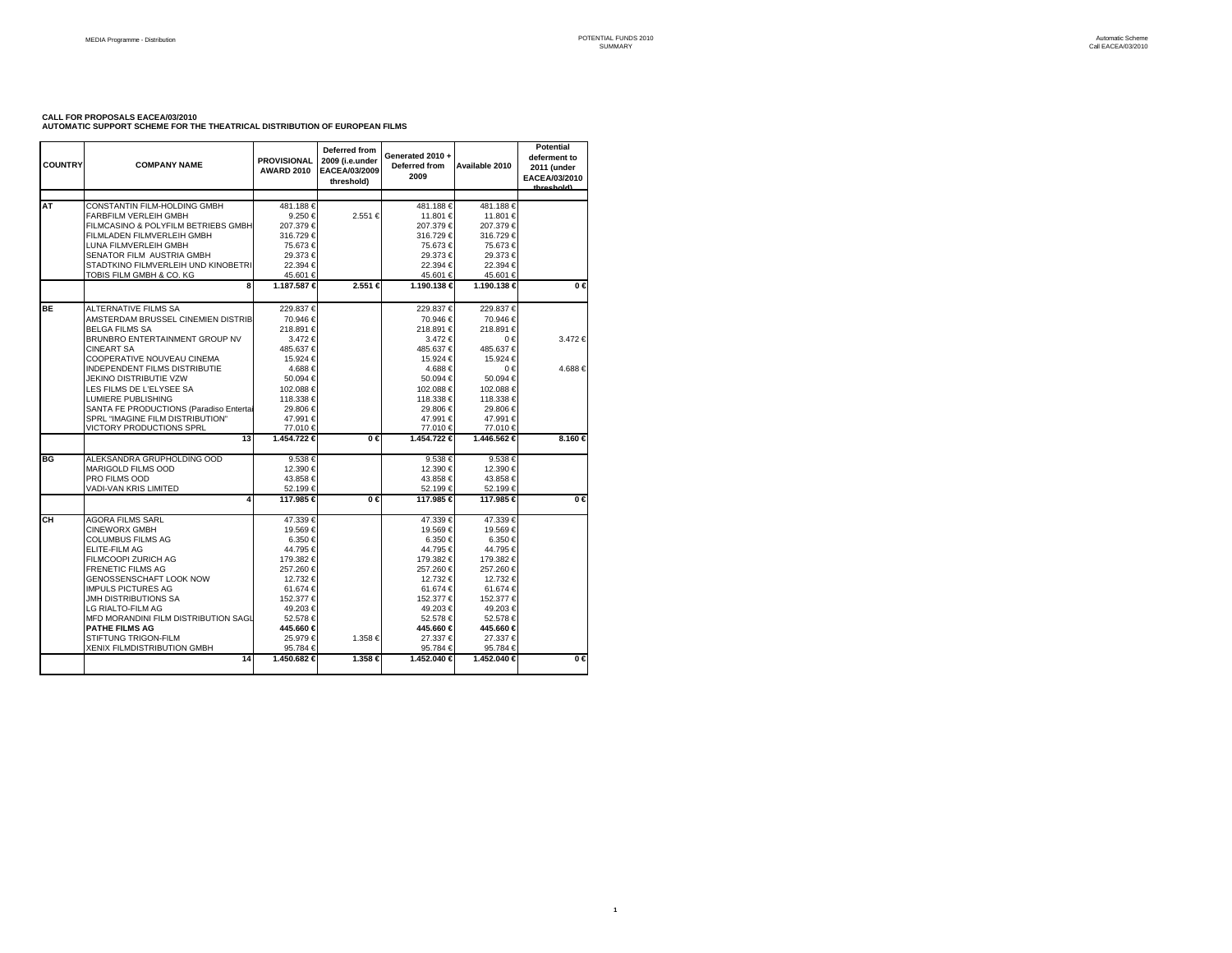## **CALL FOR PROPOSALS EACEA/03/2010 AUTOMATIC SUPPORT SCHEME FOR THE THEATRICAL DISTRIBUTION OF EUROPEAN FILMS**

| <b>COUNTRY</b> | <b>COMPANY NAME</b>                                                                                                                                                                                                                                                                                                                                                                                     | <b>PROVISIONAL</b><br><b>AWARD 2010</b>                                                                                                                                           | Deferred from<br>2009 (i.e.under<br>EACEA/03/2009<br>threshold) | Generated 2010 +<br>Deferred from<br>2009                                                                                                                                      | Available 2010                                                                                                                                                                    | <b>Potential</b><br>deferment to<br>2011 (under<br>EACEA/03/2010<br>throchold) |
|----------------|---------------------------------------------------------------------------------------------------------------------------------------------------------------------------------------------------------------------------------------------------------------------------------------------------------------------------------------------------------------------------------------------------------|-----------------------------------------------------------------------------------------------------------------------------------------------------------------------------------|-----------------------------------------------------------------|--------------------------------------------------------------------------------------------------------------------------------------------------------------------------------|-----------------------------------------------------------------------------------------------------------------------------------------------------------------------------------|--------------------------------------------------------------------------------|
| AT             | CONSTANTIN FILM-HOLDING GMBH<br><b>FARBFILM VERLEIH GMBH</b><br>FILMCASINO & POLYFILM BETRIEBS GMBH<br>FILMLADEN FILMVERLEIH GMBH<br>LUNA FILMVERLEIH GMBH<br>SENATOR FILM AUSTRIA GMBH<br>STADTKINO FILMVERLEIH UND KINOBETRI<br>TOBIS FILM GMBH & CO. KG                                                                                                                                              | 481.188€<br>9.250 €<br>207.379€<br>316.729€<br>75.673 €<br>29.373 €<br>22.394 €<br>45.601 €                                                                                       | 2.551 €                                                         | 481.188€<br>11.801 €<br>207.379€<br>316.729€<br>75.673€<br>29.373€<br>22.394 €<br>45.601€                                                                                      | 481.188€<br>11.801 €<br>207.379€<br>316.729€<br>75.673 €<br>29.373 €<br>22.394 €<br>45.601 €                                                                                      |                                                                                |
|                | 8                                                                                                                                                                                                                                                                                                                                                                                                       | 1.187.587 €                                                                                                                                                                       | 2.551 ∈                                                         | 1.190.138 €                                                                                                                                                                    | 1.190.138 €                                                                                                                                                                       | $0 \in$                                                                        |
| <b>BE</b>      | <b>ALTERNATIVE FILMS SA</b><br>AMSTERDAM BRUSSEL CINEMIEN DISTRIB<br><b>BELGA FILMS SA</b><br>BRUNBRO ENTERTAINMENT GROUP NV<br><b>CINEART SA</b><br>COOPERATIVE NOUVEAU CINEMA                                                                                                                                                                                                                         | 229.837€<br>70.946 €<br>218.891 €<br>3.472 €<br>485.637€<br>15.924 €                                                                                                              |                                                                 | 229.837€<br>70.946€<br>218.891€<br>3.472€<br>485.637€<br>15.924 €                                                                                                              | 229.837 €<br>70.946 €<br>218.891 €<br>0€<br>485.637€<br>15.924 €                                                                                                                  | 3.472€                                                                         |
|                | <b>INDEPENDENT FILMS DISTRIBUTIE</b><br>JEKINO DISTRIBUTIE VZW<br>LES FILMS DE L'ELYSEE SA<br>LUMIERE PUBLISHING<br>SANTA FE PRODUCTIONS (Paradiso Entertai<br>SPRL "IMAGINE FILM DISTRIBUTION"<br>VICTORY PRODUCTIONS SPRL                                                                                                                                                                             | 4.688€<br>50.094 €<br>102.088 €<br>118.338 €<br>29.806 €<br>47.991 €<br>77.010 €                                                                                                  |                                                                 | 4.688€<br>50.094 €<br>102.088 €<br>118.338 €<br>29.806€<br>47.991€<br>77.010€                                                                                                  | $0 \in$<br>50.094 €<br>102.088 €<br>118.338€<br>29.806 €<br>47.991 €<br>77.010 €                                                                                                  | 4.688€                                                                         |
|                | 13                                                                                                                                                                                                                                                                                                                                                                                                      | 1.454.722 €                                                                                                                                                                       | $0 \in$                                                         | 1.454.722 €                                                                                                                                                                    | 1.446.562 €                                                                                                                                                                       | 8.160 €                                                                        |
| BG             | ALEKSANDRA GRUPHOLDING OOD<br><b>MARIGOLD FILMS OOD</b><br>PRO FILMS OOD<br>VADI-VAN KRIS LIMITED                                                                                                                                                                                                                                                                                                       | 9.538 €<br>12.390 €<br>43.858€<br>52.199€                                                                                                                                         |                                                                 | 9.538€<br>12.390 €<br>43.858€<br>52.199€                                                                                                                                       | 9.538€<br>12.390 €<br>43.858 €<br>52.199€                                                                                                                                         |                                                                                |
|                | 4                                                                                                                                                                                                                                                                                                                                                                                                       | 117.985 €                                                                                                                                                                         | $0 \in$                                                         | 117.985 €                                                                                                                                                                      | 117.985 €                                                                                                                                                                         | $0 \in$                                                                        |
| CН             | <b>AGORA FILMS SARL</b><br><b>CINEWORX GMBH</b><br><b>COLUMBUS FILMS AG</b><br><b>ELITE-FILM AG</b><br>FILMCOOPI ZURICH AG<br><b>FRENETIC FILMS AG</b><br><b>GENOSSENSCHAFT LOOK NOW</b><br><b>IMPULS PICTURES AG</b><br>JMH DISTRIBUTIONS SA<br>LG RIALTO-FILM AG<br>MFD MORANDINI FILM DISTRIBUTION SAGL<br><b>PATHE FILMS AG</b><br><b>STIFTUNG TRIGON-FILM</b><br>XENIX FILMDISTRIBUTION GMBH<br>14 | 47.339€<br>19.569€<br>6.350 €<br>44.795 €<br>179.382 €<br>257.260 €<br>12.732 €<br>61.674 €<br>152.377 €<br>49.203€<br>52.578€<br>445.660 €<br>25.979€<br>95.784 €<br>1.450.682 € | 1.358€<br>1.358 €                                               | 47.339€<br>19.569€<br>6.350€<br>44.795€<br>179.382€<br>257.260 €<br>12.732 €<br>61.674 €<br>152.377 €<br>49.203€<br>52.578€<br>445.660 €<br>27.337€<br>95.784 €<br>1.452.040 € | 47.339€<br>19.569€<br>6.350 €<br>44.795 €<br>179.382 €<br>257.260 €<br>12.732 €<br>61.674€<br>152.377 €<br>49.203€<br>52.578€<br>445.660 €<br>27.337 €<br>95.784 €<br>1.452.040 € | $0 \in$                                                                        |

**1**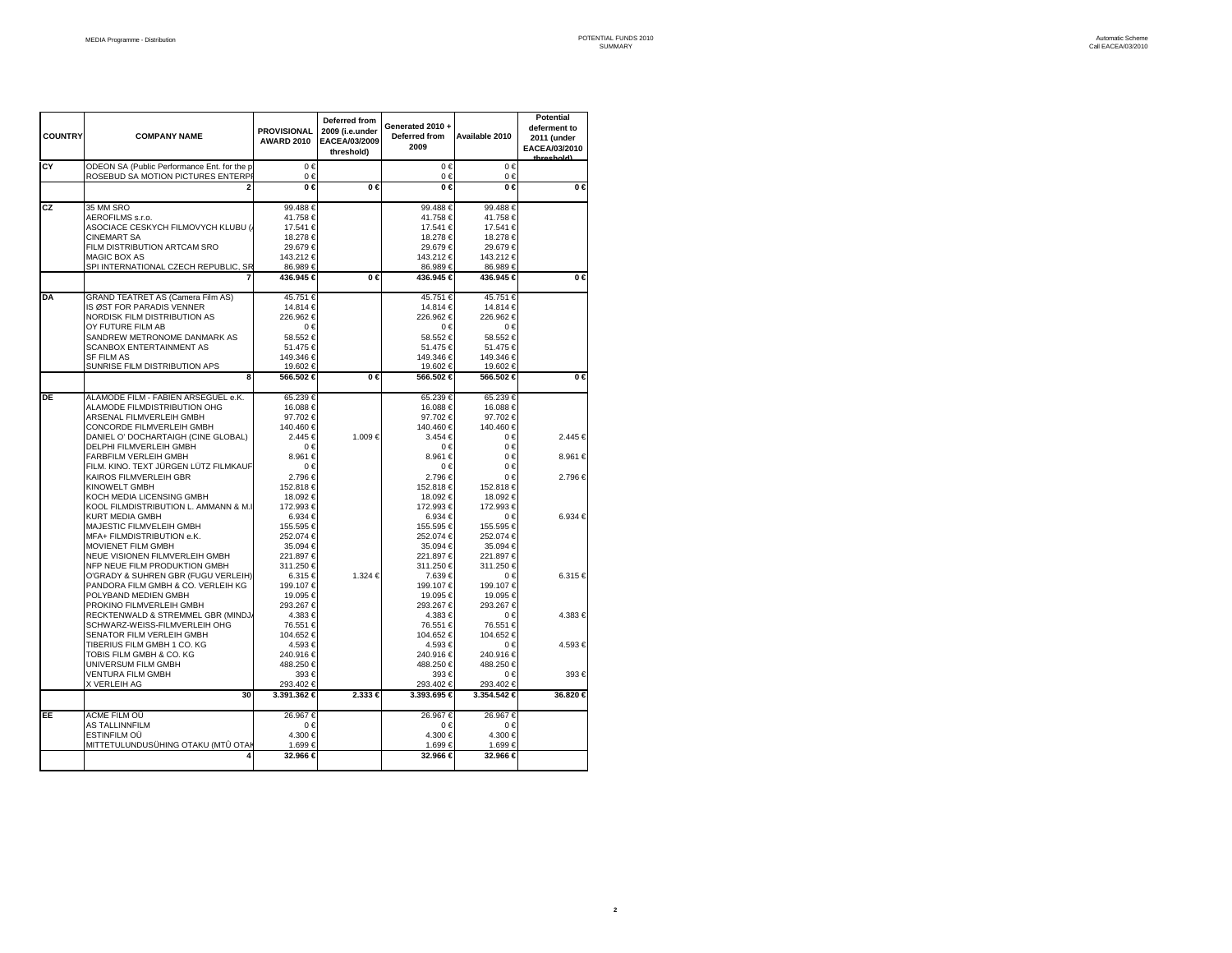| <b>COUNTRY</b> | <b>COMPANY NAME</b>                                                               | <b>PROVISIONAL</b><br><b>AWARD 2010</b> | Deferred from<br>2009 (i.e.under<br>EACEA/03/2009<br>threshold) | Generated 2010+<br>Deferred from<br>2009 | Available 2010           | <b>Potential</b><br>deferment to<br>2011 (under<br>EACEA/03/2010<br>throchold) |
|----------------|-----------------------------------------------------------------------------------|-----------------------------------------|-----------------------------------------------------------------|------------------------------------------|--------------------------|--------------------------------------------------------------------------------|
| CY             | ODEON SA (Public Performance Ent, for the p<br>ROSEBUD SA MOTION PICTURES ENTERPI | $0 \in$<br>0€                           |                                                                 | $0 \in$<br>0€                            | $0 \in$<br>0€            |                                                                                |
|                |                                                                                   | $0 \in$                                 | $0 \in$                                                         | 0€                                       | $0 \in$                  | $0 \in$                                                                        |
| CZ             | 35 MM SRO                                                                         | 99.488€                                 |                                                                 | 99.488€                                  | 99.488€                  |                                                                                |
|                | AEROFILMS s.r.o.<br>ASOCIACE CESKYCH FILMOVYCH KLUBU (                            | 41.758€<br>17.541 €                     |                                                                 | 41.758€<br>17.541 €                      | 41.758 €<br>17.541 €     |                                                                                |
|                | <b>CINEMART SA</b>                                                                | 18.278€                                 |                                                                 | 18.278€                                  | 18.278 €                 |                                                                                |
|                | FILM DISTRIBUTION ARTCAM SRO                                                      | 29.679€                                 |                                                                 | 29.679€                                  | 29.679€                  |                                                                                |
|                | <b>MAGIC BOX AS</b><br>SPI INTERNATIONAL CZECH REPUBLIC, SR                       | 143.212 €<br>86.989€                    |                                                                 | 143.212 €<br>86.989€                     | 143.212 €<br>86.989€     |                                                                                |
|                |                                                                                   | 436.945 €                               | 0€                                                              | 436.945 €                                | 436.945 €                | $0 \in$                                                                        |
| DA             | <b>GRAND TEATRET AS (Camera Film AS)</b>                                          | 45.751€                                 |                                                                 | 45.751 €                                 | 45.751 €                 |                                                                                |
|                | IS ØST FOR PARADIS VENNER                                                         | 14.814 €                                |                                                                 | 14.814 €                                 | 14.814 €                 |                                                                                |
|                | NORDISK FILM DISTRIBUTION AS<br>OY FUTURE FILM AB                                 | 226.962€<br>0€                          |                                                                 | 226.962€<br>0€                           | 226.962€<br>$0 \in$      |                                                                                |
|                | SANDREW METRONOME DANMARK AS                                                      | 58.552€                                 |                                                                 | 58.552€                                  | 58.552€                  |                                                                                |
|                | <b>SCANBOX ENTERTAINMENT AS</b>                                                   | 51.475 €                                |                                                                 | 51.475 €                                 | 51.475 €                 |                                                                                |
|                | <b>SF FILM AS</b><br>SUNRISE FILM DISTRIBUTION APS                                | 149.346 €<br>19.602 €                   |                                                                 | 149.346 €<br>19.602 €                    | 149.346 €<br>19.602 €    |                                                                                |
|                | 8                                                                                 | 566.502 €                               | 0€                                                              | 566.502€                                 | 566.502 €                | $0 \in$                                                                        |
| DE             | ALAMODE FILM - FABIEN ARSEGUEL e.K.                                               | 65.239€                                 |                                                                 | 65.239€                                  | 65.239€                  |                                                                                |
|                | ALAMODE FILMDISTRIBUTION OHG                                                      | 16.088 €                                |                                                                 | 16.088€                                  | 16.088 €                 |                                                                                |
|                | ARSENAL FILMVERLEIH GMBH<br>CONCORDE FILMVERLEIH GMBH                             | 97.702€<br>140.460 €                    |                                                                 | 97.702 €<br>140.460 €                    | 97.702€<br>140.460 €     |                                                                                |
|                | DANIEL O' DOCHARTAIGH (CINE GLOBAL)                                               | 2.445 €                                 | 1.009€                                                          | 3.454 €                                  | 0€                       | 2.445 €                                                                        |
|                | DELPHI FILMVERLEIH GMBH<br><b>FARBFILM VERLEIH GMBH</b>                           | 0€<br>8.961 €                           |                                                                 | 0€<br>8.961 €                            | 0€<br>0€                 | 8.961 €                                                                        |
|                | FILM. KINO. TEXT JÜRGEN LÜTZ FILMKAUF                                             | 0€                                      |                                                                 | 0€                                       | 0€                       |                                                                                |
|                | KAIROS FILMVERLEIH GBR                                                            | 2.796 €                                 |                                                                 | 2.796€                                   | 0€                       | 2.796 €                                                                        |
|                | <b>KINOWELT GMBH</b><br>KOCH MEDIA LICENSING GMBH                                 | 152.818€<br>18.092 €                    |                                                                 | 152.818€<br>18.092 €                     | 152.818 €<br>18.092 €    |                                                                                |
|                | KOOL FILMDISTRIBUTION L. AMMANN & M.I                                             | 172.993 €                               |                                                                 | 172.993€                                 | 172.993 €                |                                                                                |
|                | <b>KURT MEDIA GMBH</b>                                                            | 6.934 €                                 |                                                                 | 6.934 €                                  | $0 \in$                  | 6.934 €                                                                        |
|                | MAJESTIC FILMVELEIH GMBH                                                          | 155.595 €<br>252.074 €                  |                                                                 | 155.595€                                 | 155.595 €                |                                                                                |
|                | MFA+ FILMDISTRIBUTION e.K.<br><b>MOVIENET FILM GMBH</b>                           | 35.094 €                                |                                                                 | 252.074 €<br>35.094 €                    | 252.074 €<br>35.094 €    |                                                                                |
|                | NEUE VISIONEN FILMVERLEIH GMBH                                                    | 221.897 €                               |                                                                 | 221.897 €                                | 221.897 €                |                                                                                |
|                | NFP NEUE FILM PRODUKTION GMBH                                                     | 311.250 €                               |                                                                 | 311.250 €                                | 311.250 €                |                                                                                |
|                | O'GRADY & SUHREN GBR (FUGU VERLEIH)<br>PANDORA FILM GMBH & CO. VERLEIH KG         | 6.315 €<br>199.107 €                    | 1.324 €                                                         | 7.639 €<br>199.107 €                     | $0 \in$<br>199.107 €     | 6.315€                                                                         |
|                | POLYBAND MEDIEN GMBH                                                              | 19.095 €                                |                                                                 | 19.095 €                                 | 19.095 €                 |                                                                                |
|                | PROKINO FILMVERLEIH GMBH                                                          | 293.267 €                               |                                                                 | 293.267 €                                | 293.267€                 |                                                                                |
|                | RECKTENWALD & STREMMEL GBR (MINDJ)<br>SCHWARZ-WEISS-FILMVERLEIH OHG               | 4.383 €<br>76.551 €                     |                                                                 | 4.383 €<br>76.551€                       | $0 \in$<br>76.551€       | 4.383 €                                                                        |
|                | SENATOR FILM VERLEIH GMBH                                                         | 104.652 €                               |                                                                 | 104.652€                                 | 104.652 €                |                                                                                |
|                | TIBERIUS FILM GMBH 1 CO. KG                                                       | 4.593 €                                 |                                                                 | 4.593€                                   | $0 \in$                  | 4.593€                                                                         |
|                | TOBIS FILM GMBH & CO. KG<br>UNIVERSUM FILM GMBH                                   | 240.916 €<br>488.250 €                  |                                                                 | 240.916€<br>488.250€                     | 240.916 €<br>488.250 €   |                                                                                |
|                | <b>VENTURA FILM GMBH</b>                                                          | 393€                                    |                                                                 | 393 €                                    | $0 \in$                  | 393€                                                                           |
|                | X VERLEIH AG<br>30                                                                | 293.402 €<br>3.391.362 €                | 2.333 €                                                         | 293.402 €<br>3.393.695 €                 | 293.402 €<br>3.354.542 € | 36.820 €                                                                       |
|                |                                                                                   |                                         |                                                                 |                                          |                          |                                                                                |
| EE             | ACME FILM OÜ<br>AS TALLINNFILM                                                    | 26.967€<br>$0 \in$                      |                                                                 | 26.967 €<br>0€                           | 26.967€<br>$0 \in$       |                                                                                |
|                | <b>ESTINFILM OÜ</b>                                                               | 4.300 €                                 |                                                                 | 4.300 €                                  | 4.300 €                  |                                                                                |
|                | MITTETULUNDUSÜHING OTAKU (MTÛ OTAI                                                | 1.699 €                                 |                                                                 | 1.699€                                   | 1.699€                   |                                                                                |
|                | 4                                                                                 | 32.966 €                                |                                                                 | 32.966 €                                 | 32.966 €                 |                                                                                |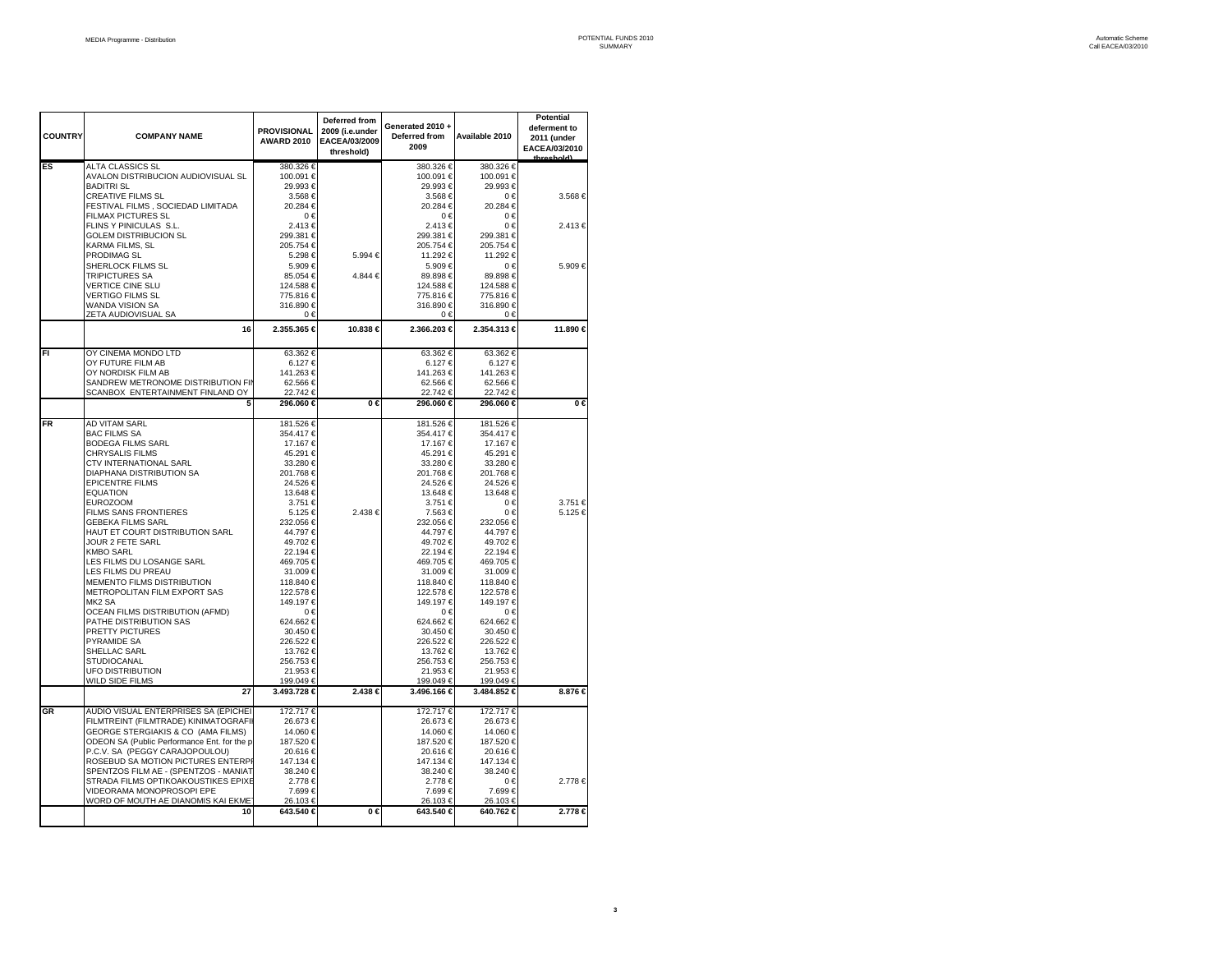| <b>COUNTRY</b> | <b>COMPANY NAME</b>                                                          | <b>PROVISIONAL</b><br><b>AWARD 2010</b> | Deferred from<br>2009 (i.e.under<br>EACEA/03/2009<br>threshold) | Generated 2010+<br>Deferred from<br>2009 | Available 2010         | Potential<br>deferment to<br>2011 (under<br>EACEA/03/2010<br>hrochold) |
|----------------|------------------------------------------------------------------------------|-----------------------------------------|-----------------------------------------------------------------|------------------------------------------|------------------------|------------------------------------------------------------------------|
| ES             | ALTA CLASSICS SL<br>AVALON DISTRIBUCION AUDIOVISUAL SL                       | 380.326 €<br>100.091 €                  |                                                                 | 380.326 €<br>100.091 €                   | 380.326 €<br>100.091 € |                                                                        |
|                | <b>BADITRI SL</b><br><b>CREATIVE FILMS SL</b>                                | 29.993€<br>3.568€                       |                                                                 | 29.993€<br>3.568€                        | 29.993€<br>0€          | 3.568€                                                                 |
|                | FESTIVAL FILMS, SOCIEDAD LIMITADA                                            | 20.284 €                                |                                                                 | 20.284 €                                 | 20.284 €               |                                                                        |
|                | FILMAX PICTURES SL<br>FLINS Y PINICULAS S.L.                                 | $0 \in$<br>2.413 €                      |                                                                 | $0 \in$<br>2.413€                        | $0 \in$<br>0€          | 2.413 €                                                                |
|                | <b>GOLEM DISTRIBUCION SL</b>                                                 | 299.381 €                               |                                                                 | 299.381 €                                | 299.381 €              |                                                                        |
|                | KARMA FILMS, SL                                                              | 205.754 €                               | 5.994 €                                                         | 205.754 €                                | 205.754 €              |                                                                        |
|                | PRODIMAG SL<br>SHERLOCK FILMS SL                                             | 5.298 €<br>5.909€                       |                                                                 | 11.292 €<br>5.909€                       | 11.292 €<br>0€         | 5.909€                                                                 |
|                | <b>TRIPICTURES SA</b>                                                        | 85.054 €                                | 4.844 €                                                         | 89.898€                                  | 89.898€                |                                                                        |
|                | <b>VERTICE CINE SLU</b><br><b>VERTIGO FILMS SL</b>                           | 124.588 €<br>775.816 €                  |                                                                 | 124.588 €<br>775.816€                    | 124.588€<br>775.816€   |                                                                        |
|                | <b>WANDA VISION SA</b>                                                       | 316.890 €                               |                                                                 | 316.890 €                                | 316.890 €              |                                                                        |
|                | ZETA AUDIOVISUAL SA                                                          | $0 \in$                                 |                                                                 | 0€                                       | $0 \in$                |                                                                        |
|                | 16                                                                           | 2.355.365 €                             | 10.838 €                                                        | 2.366.203 €                              | 2.354.313 €            | 11.890 €                                                               |
| FI             | OY CINEMA MONDO LTD                                                          | 63.362 €                                |                                                                 | 63.362€                                  | 63.362€                |                                                                        |
|                | OY FUTURE FILM AB<br>OY NORDISK FILM AB                                      | 6.127€<br>141.263 €                     |                                                                 | 6.127€<br>141.263€                       | 6.127€<br>141.263 €    |                                                                        |
|                | SANDREW METRONOME DISTRIBUTION FII                                           | 62.566 €                                |                                                                 | 62.566€                                  | 62.566 €               |                                                                        |
|                | SCANBOX ENTERTAINMENT FINLAND OY                                             | 22.742€                                 |                                                                 | 22.742€                                  | 22.742€                |                                                                        |
|                |                                                                              | 296.060 €                               | $0 \in$                                                         | 296.060 €                                | 296.060 €              | $0 \in$                                                                |
| FR             | AD VITAM SARL                                                                | 181.526 €                               |                                                                 | 181.526 €                                | 181.526 €              |                                                                        |
|                | <b>BAC FILMS SA</b><br><b>BODEGA FILMS SARL</b>                              | 354.417 €<br>17.167 €                   |                                                                 | 354.417 €<br>17.167 €                    | 354.417 €<br>17.167 €  |                                                                        |
|                | <b>CHRYSALIS FILMS</b>                                                       | 45.291 €                                |                                                                 | 45.291 €                                 | 45.291 €               |                                                                        |
|                | CTV INTERNATIONAL SARL                                                       | 33.280 €                                |                                                                 | 33.280 €                                 | 33.280 €               |                                                                        |
|                | <b>DIAPHANA DISTRIBUTION SA</b><br><b>EPICENTRE FILMS</b>                    | 201.768€<br>24.526 €                    |                                                                 | 201.768€<br>24.526 €                     | 201.768€<br>24.526€    |                                                                        |
|                | <b>EQUATION</b>                                                              | 13.648 €                                |                                                                 | 13.648 €                                 | 13.648 €               |                                                                        |
|                | <b>EUROZOOM</b>                                                              | 3.751 €                                 |                                                                 | 3.751 €                                  | 0€                     | 3.751 €                                                                |
|                | FILMS SANS FRONTIERES<br><b>GEBEKA FILMS SARL</b>                            | 5.125 €<br>232.056 €                    | 2.438€                                                          | 7.563€<br>232.056 €                      | $0 \in$<br>232.056€    | 5.125 €                                                                |
|                | HAUT ET COURT DISTRIBUTION SARL                                              | 44.797 €                                |                                                                 | 44.797 €                                 | 44.797€                |                                                                        |
|                | JOUR 2 FETE SARL<br><b>KMBO SARL</b>                                         | 49.702€<br>22.194€                      |                                                                 | 49.702 €<br>22.194 €                     | 49.702€<br>22.194€     |                                                                        |
|                | LES FILMS DU LOSANGE SARL                                                    | 469.705€                                |                                                                 | 469.705€                                 | 469.705€               |                                                                        |
|                | LES FILMS DU PREAU                                                           | 31.009€                                 |                                                                 | 31.009€                                  | 31.009€                |                                                                        |
|                | MEMENTO FILMS DISTRIBUTION<br>METROPOLITAN FILM EXPORT SAS                   | 118.840 €<br>122.578€                   |                                                                 | 118.840 €<br>122.578 €                   | 118.840 €<br>122.578€  |                                                                        |
|                | MK <sub>2</sub> SA                                                           | 149.197€                                |                                                                 | 149.197 €                                | 149.197€               |                                                                        |
|                | OCEAN FILMS DISTRIBUTION (AFMD)                                              | $0 \in$                                 |                                                                 | 0€                                       | $0 \in$                |                                                                        |
|                | PATHE DISTRIBUTION SAS<br>PRETTY PICTURES                                    | 624.662€<br>30.450 €                    |                                                                 | 624.662€<br>30.450 €                     | 624.662€<br>30.450€    |                                                                        |
|                | PYRAMIDE SA                                                                  | 226.522€                                |                                                                 | 226.522€                                 | 226.522€               |                                                                        |
|                | SHELLAC SARL<br><b>STUDIOCANAL</b>                                           | 13.762 €<br>256.753€                    |                                                                 | 13.762€<br>256.753€                      | 13.762 €<br>256.753€   |                                                                        |
|                | <b>UFO DISTRIBUTION</b>                                                      | 21.953 €                                |                                                                 | 21.953€                                  | 21.953€                |                                                                        |
|                | WILD SIDE FILMS                                                              | 199.049€                                |                                                                 | 199.049€                                 | 199.049€               |                                                                        |
|                | 27                                                                           | 3.493.728 €                             | 2.438 €                                                         | 3.496.166 €                              | 3.484.852 €            | 8.876 €                                                                |
| GR             | AUDIO VISUAL ENTERPRISES SA (EPICHEI<br>FILMTREINT (FILMTRADE) KINIMATOGRAFI | 172.717€<br>26.673 €                    |                                                                 | 172.717€<br>26.673 €                     | 172.717€<br>26.673 €   |                                                                        |
|                | GEORGE STERGIAKIS & CO (AMA FILMS)                                           | 14.060 €                                |                                                                 | 14.060€                                  | 14.060 €               |                                                                        |
|                | ODEON SA (Public Performance Ent. for the p                                  | 187.520 €                               |                                                                 | 187.520 €                                | 187.520 €              |                                                                        |
|                | P.C.V. SA (PEGGY CARAJOPOULOU)<br>ROSEBUD SA MOTION PICTURES ENTERP          | 20.616€<br>147.134 €                    |                                                                 | 20.616€<br>147.134 €                     | 20.616€<br>147.134 €   |                                                                        |
|                | SPENTZOS FILM AE - (SPENTZOS - MANIAT                                        | 38.240 €                                |                                                                 | 38.240 €                                 | 38.240 €               |                                                                        |
|                | STRADA FILMS OPTIKOAKOUSTIKES EPIXE                                          | 2.778€                                  |                                                                 | 2.778€                                   | 0€                     | 2.778€                                                                 |
|                | VIDEORAMA MONOPROSOPI EPE<br>WORD OF MOUTH AE DIANOMIS KAI EKME              | 7.699€<br>26.103€                       |                                                                 | 7.699€<br>26.103€                        | 7.699€<br>26.103€      |                                                                        |
|                | 10                                                                           | 643.540 €                               | $\overline{0}$ $\in$                                            | 643.540 €                                | 640.762 €              | 2.778 ∈                                                                |
|                |                                                                              |                                         |                                                                 |                                          |                        |                                                                        |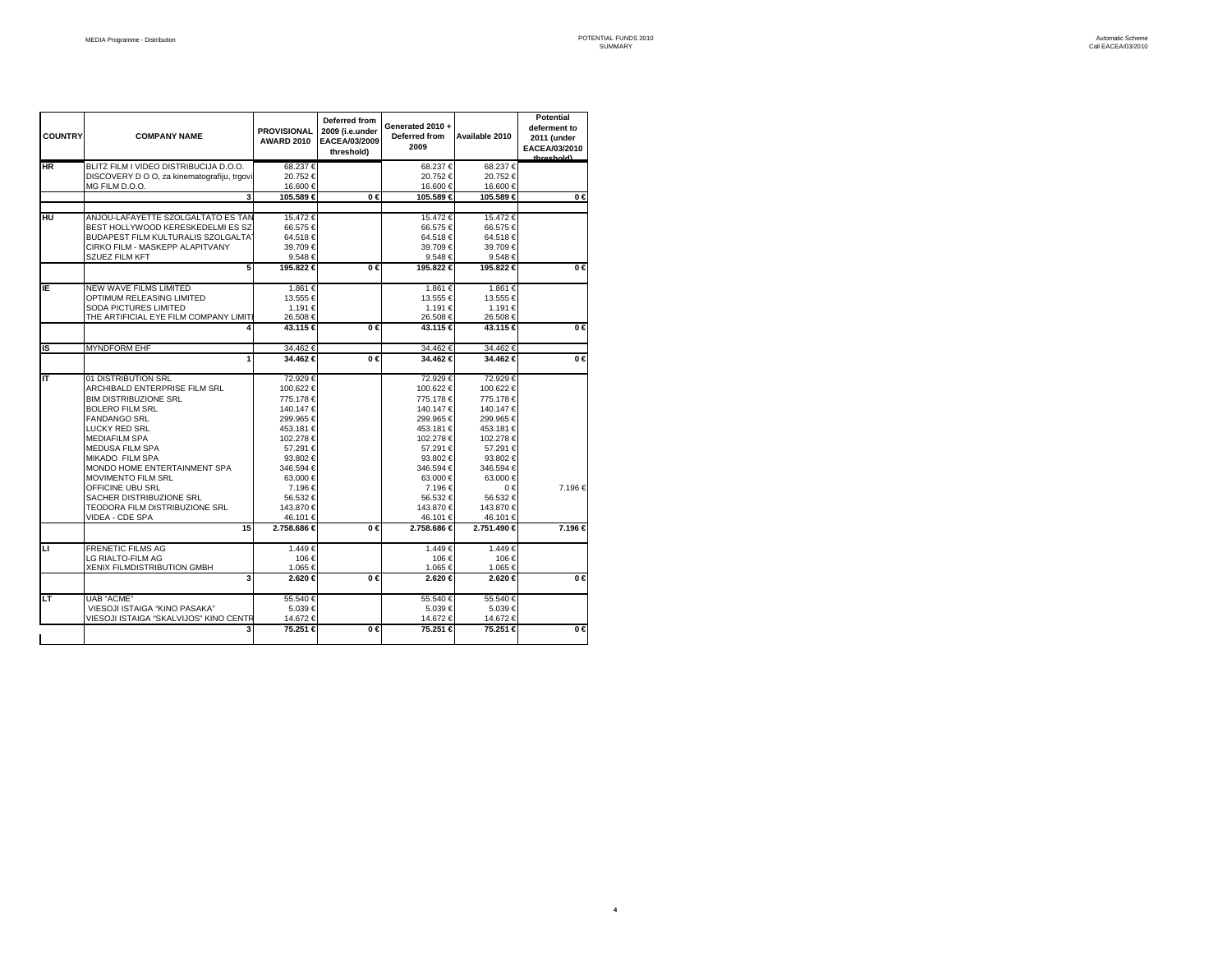| <b>COUNTRY</b> | <b>COMPANY NAME</b>                         | <b>PROVISIONAL</b><br><b>AWARD 2010</b> | Deferred from<br>2009 (i.e.under<br>EACEA/03/2009<br>threshold) | Generated 2010+<br>Deferred from<br>2009 | Available 2010 | <b>Potential</b><br>deferment to<br>2011 (under<br>EACEA/03/2010<br>throchold) |
|----------------|---------------------------------------------|-----------------------------------------|-----------------------------------------------------------------|------------------------------------------|----------------|--------------------------------------------------------------------------------|
| ΗR             | BLITZ FILM I VIDEO DISTRIBUCIJA D.O.O.      | 68.237€                                 |                                                                 | 68.237€                                  | 68.237€        |                                                                                |
|                | DISCOVERY D O O, za kinematografiju, trgovi | 20.752€                                 |                                                                 | 20.752€                                  | 20.752€        |                                                                                |
|                | MG FILM D.O.O.                              | 16.600 €                                |                                                                 | 16.600€                                  | 16.600 €       |                                                                                |
|                | 3                                           | 105.589 €                               | $0 \in$                                                         | 105.589 €                                | 105.589 €      | $0 \in$                                                                        |
|                |                                             |                                         |                                                                 |                                          |                |                                                                                |
| нu             | ANJOU-LAFAYETTE SZOLGALTATO ES TAN          | 15.472€                                 |                                                                 | 15.472€                                  | 15.472€        |                                                                                |
|                | BEST HOLLYWOOD KERESKEDELMI ES SZ           | 66.575 €                                |                                                                 | 66.575€                                  | 66.575 €       |                                                                                |
|                | BUDAPEST FILM KULTURALIS SZOLGALTAT         | 64.518€                                 |                                                                 | 64.518€                                  | 64.518€        |                                                                                |
|                | CIRKO FILM - MASKEPP ALAPITVANY             | 39.709€                                 |                                                                 | 39.709€                                  | 39.709€        |                                                                                |
|                |                                             |                                         |                                                                 |                                          |                |                                                                                |
|                | <b>SZUEZ FILM KFT</b>                       | 9.548€                                  |                                                                 | 9.548€                                   | 9.548€         |                                                                                |
|                | 5                                           | 195.822 €                               | $0 \in$                                                         | 195.822 €                                | 195.822 €      | $0 \in$                                                                        |
| ΙE             | <b>NEW WAVE FILMS LIMITED</b>               | 1.861€                                  |                                                                 | 1.861€                                   | 1.861€         |                                                                                |
|                | OPTIMUM RELEASING LIMITED                   | 13.555 €                                |                                                                 | 13.555€                                  | 13.555 €       |                                                                                |
|                | SODA PICTURES LIMITED                       | 1.191 €                                 |                                                                 | 1.191€                                   | 1.191€         |                                                                                |
|                | THE ARTIFICIAL EYE FILM COMPANY LIMIT       | 26.508€                                 |                                                                 | 26.508€                                  | 26.508€        |                                                                                |
|                |                                             | 43.115 €                                | $\overline{0}$ $\in$                                            | 43.115 €                                 | 43.115 €       | $0 \in$                                                                        |
| IS             | <b>MYNDFORM EHF</b>                         | 34.462€                                 |                                                                 | 34.462€                                  | 34.462€        |                                                                                |
|                | 1                                           | 34.462 €                                | $0 \in$                                                         | 34.462 €                                 | 34.462 €       | $0 \in$                                                                        |
| ΙT             | 01 DISTRIBUTION SRL                         | 72.929€                                 |                                                                 | 72.929€                                  | 72.929€        |                                                                                |
|                | ARCHIBALD ENTERPRISE FILM SRL               | 100.622 €                               |                                                                 | 100.622€                                 | 100.622 €      |                                                                                |
|                | <b>BIM DISTRIBUZIONE SRL</b>                | 775.178€                                |                                                                 | 775.178€                                 | 775.178€       |                                                                                |
|                | <b>BOLERO FILM SRL</b>                      | 140.147€                                |                                                                 | 140.147€                                 | 140.147€       |                                                                                |
|                | <b>FANDANGO SRL</b>                         | 299.965€                                |                                                                 | 299.965€                                 | 299.965€       |                                                                                |
|                | <b>LUCKY RED SRL</b>                        | 453.181 €                               |                                                                 | 453.181 €                                | 453.181 €      |                                                                                |
|                | <b>MEDIAFILM SPA</b>                        | 102.278 €                               |                                                                 | 102.278 €                                | 102.278 €      |                                                                                |
|                | <b>MEDUSA FILM SPA</b>                      | 57.291 €                                |                                                                 | 57.291 €                                 | 57.291€        |                                                                                |
|                | <b>MIKADO FILM SPA</b>                      | 93.802 €                                |                                                                 | 93.802 €                                 | 93.802€        |                                                                                |
|                |                                             |                                         |                                                                 |                                          |                |                                                                                |
|                | MONDO HOME ENTERTAINMENT SPA                | 346.594 €                               |                                                                 | 346.594 €                                | 346.594 €      |                                                                                |
|                | <b>MOVIMENTO FILM SRL</b>                   | 63.000 €                                |                                                                 | 63.000 €                                 | 63.000 €       |                                                                                |
|                | OFFICINE UBU SRL                            | 7.196€                                  |                                                                 | 7.196€                                   | $0 \in$        | 7.196€                                                                         |
|                | SACHER DISTRIBUZIONE SRL                    | 56.532€                                 |                                                                 | 56.532€                                  | 56.532€        |                                                                                |
|                | TEODORA FILM DISTRIBUZIONE SRL              | 143.870 €                               |                                                                 | 143.870 €                                | 143.870 €      |                                                                                |
|                | VIDEA - CDE SPA                             | 46.101 €                                |                                                                 | 46.101€                                  | 46.101 €       |                                                                                |
|                | 15                                          | 2.758.686 €                             | $0 \in$                                                         | 2.758.686 €                              | 2.751.490 €    | 7.196 €                                                                        |
| ◫              | <b>FRENETIC FILMS AG</b>                    | 1.449€                                  |                                                                 | 1.449€                                   | 1.449€         |                                                                                |
|                | LG RIALTO-FILM AG                           | 106€                                    |                                                                 | 106€                                     | 106€           |                                                                                |
|                | XENIX FILMDISTRIBUTION GMBH                 | 1.065 €                                 |                                                                 | 1.065€                                   | 1.065 €        |                                                                                |
|                | 3                                           | 2.620 €                                 | $0 \in$                                                         | 2.620 €                                  | 2.620 €        | $0 \in$                                                                        |
| LТ             | <b>UAB "ACME"</b>                           | 55.540 €                                |                                                                 | 55.540 €                                 | 55.540 €       |                                                                                |
|                | VIESOJI ISTAIGA "KINO PASAKA"               | 5.039€                                  |                                                                 | 5.039€                                   | 5.039€         |                                                                                |
|                | VIESOJI ISTAIGA "SKALVIJOS" KINO CENTR      | 14.672 €                                |                                                                 | 14.672€                                  | 14.672 €       |                                                                                |
|                | 3                                           | 75.251 €                                | $0 \in$                                                         | 75.251 €                                 | 75.251 €       | $0 \in$                                                                        |
|                |                                             |                                         |                                                                 |                                          |                |                                                                                |

**4**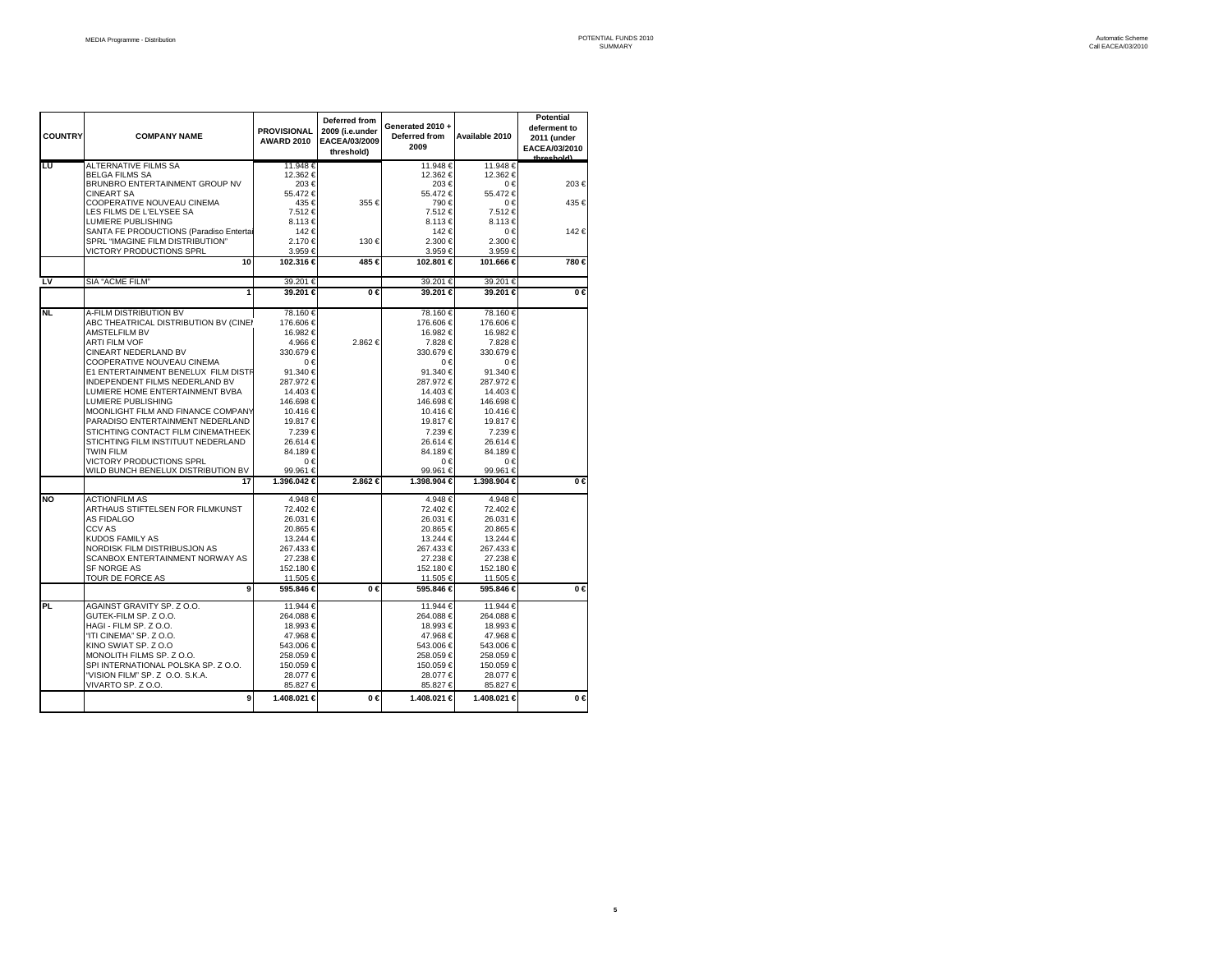| <b>COUNTRY</b> | <b>COMPANY NAME</b>                                                         | <b>PROVISIONAL</b><br><b>AWARD 2010</b> | Deferred from<br>2009 (i.e.under<br>EACEA/03/2009<br>threshold) | Generated 2010 +<br>Deferred from<br>2009 | Available 2010        | <b>Potential</b><br>deferment to<br>2011 (under<br>EACEA/03/2010<br>throchold) |
|----------------|-----------------------------------------------------------------------------|-----------------------------------------|-----------------------------------------------------------------|-------------------------------------------|-----------------------|--------------------------------------------------------------------------------|
| Lυ             | ALTERNATIVE FILMS SA                                                        | 11.948 €                                |                                                                 | 11.948€                                   | 11.948 €              |                                                                                |
|                | <b>BELGA FILMS SA</b>                                                       | 12.362 €<br>203€                        |                                                                 | 12.362 €<br>203€                          | 12.362 €<br>0€        |                                                                                |
|                | BRUNBRO ENTERTAINMENT GROUP NV<br><b>CINEART SA</b>                         | 55.472€                                 |                                                                 | 55.472€                                   | 55.472€               | 203€                                                                           |
|                | COOPERATIVE NOUVEAU CINEMA                                                  | 435 €                                   | 355€                                                            | 790€                                      | 0€                    | 435 €                                                                          |
|                | LES FILMS DE L'ELYSEE SA                                                    | 7.512€                                  |                                                                 | 7.512€                                    | 7.512€                |                                                                                |
|                | LUMIERE PUBLISHING                                                          | 8.113€                                  |                                                                 | 8.113€                                    | 8.113€                |                                                                                |
|                | SANTA FE PRODUCTIONS (Paradiso Entertai<br>SPRL "IMAGINE FILM DISTRIBUTION" | 142€<br>2.170 €                         | 130€                                                            | 142€<br>2.300 €                           | 0€<br>2.300 €         | 142€                                                                           |
|                | VICTORY PRODUCTIONS SPRL                                                    | 3.959€                                  |                                                                 | 3.959€                                    | 3.959€                |                                                                                |
|                | 10                                                                          | 102.316 €                               | 485 €                                                           | 102.801 €                                 | 101.666 €             | 780 €                                                                          |
| L٧             | SIA "ACME FILM"                                                             | 39.201€                                 |                                                                 | 39.201€                                   | 39.201€               |                                                                                |
|                | 1                                                                           | 39.201 €                                | $0 \in$                                                         | 39.201 €                                  | 39.201 €              | 0€                                                                             |
|                |                                                                             |                                         |                                                                 |                                           |                       |                                                                                |
| <b>NL</b>      | A-FILM DISTRIBUTION BV<br>ABC THEATRICAL DISTRIBUTION BV (CINEI             | 78.160 €<br>176.606 €                   |                                                                 | 78.160€<br>176.606€                       | 78.160€<br>176.606 €  |                                                                                |
|                | AMSTELFILM BV                                                               | 16.982 €                                |                                                                 | 16.982 €                                  | 16.982 €              |                                                                                |
|                | <b>ARTI FILM VOF</b>                                                        | 4.966 €                                 | 2.862€                                                          | 7.828€                                    | 7.828 €               |                                                                                |
|                | <b>CINEART NEDERLAND BV</b>                                                 | 330.679€                                |                                                                 | 330.679€                                  | 330.679€              |                                                                                |
|                | COOPERATIVE NOUVEAU CINEMA                                                  | $0 \in$                                 |                                                                 | 0€                                        | 0€                    |                                                                                |
|                | E1 ENTERTAINMENT BENELUX FILM DISTR                                         | 91.340 €                                |                                                                 | 91.340 €                                  | 91.340 €              |                                                                                |
|                | INDEPENDENT FILMS NEDERLAND BV                                              | 287.972€                                |                                                                 | 287.972€                                  | 287.972€              |                                                                                |
|                | LUMIERE HOME ENTERTAINMENT BVBA<br>LUMIERE PUBLISHING                       | 14.403 €<br>146.698€                    |                                                                 | 14.403€<br>146.698€                       | 14.403 €<br>146.698€  |                                                                                |
|                | MOONLIGHT FILM AND FINANCE COMPANY                                          | 10.416 €                                |                                                                 | 10.416€                                   | 10.416 €              |                                                                                |
|                | PARADISO ENTERTAINMENT NEDERLAND                                            | 19.817 €                                |                                                                 | 19.817€                                   | 19.817 €              |                                                                                |
|                | STICHTING CONTACT FILM CINEMATHEEK                                          | 7.239€                                  |                                                                 | 7.239€                                    | 7.239€                |                                                                                |
|                | STICHTING FILM INSTITUUT NEDERLAND                                          | 26.614 €                                |                                                                 | 26.614€                                   | 26.614 €              |                                                                                |
|                | <b>TWIN FILM</b>                                                            | 84.189€                                 |                                                                 | 84.189€                                   | 84.189€               |                                                                                |
|                | VICTORY PRODUCTIONS SPRL<br>WILD BUNCH BENELUX DISTRIBUTION BV              | 0€<br>99.961 €                          |                                                                 | 0€<br>99.961€                             | 0€<br>99.961 €        |                                                                                |
|                | 17                                                                          | 1.396.042 €                             | 2.862 €                                                         | 1.398.904 €                               | 1.398.904 €           | $0 \in$                                                                        |
|                |                                                                             |                                         |                                                                 |                                           |                       |                                                                                |
| NO             | <b>ACTIONFILM AS</b>                                                        | 4.948€<br>72.402 €                      |                                                                 | 4.948€<br>72.402€                         | 4.948€<br>72.402 €    |                                                                                |
|                | ARTHAUS STIFTELSEN FOR FILMKUNST<br>AS FIDALGO                              | 26.031 €                                |                                                                 | 26.031€                                   | 26.031 €              |                                                                                |
|                | <b>CCV AS</b>                                                               | 20.865 €                                |                                                                 | 20.865€                                   | 20.865€               |                                                                                |
|                | <b>KUDOS FAMILY AS</b>                                                      | 13.244 €                                |                                                                 | 13.244 €                                  | 13.244 €              |                                                                                |
|                | NORDISK FILM DISTRIBUSJON AS                                                | 267.433 €                               |                                                                 | 267.433 €                                 | 267.433 €             |                                                                                |
|                | SCANBOX ENTERTAINMENT NORWAY AS                                             | 27.238 €                                |                                                                 | 27.238 €                                  | 27.238 €              |                                                                                |
|                | <b>SF NORGE AS</b>                                                          | 152.180 €                               |                                                                 | 152.180 €                                 | 152.180 €             |                                                                                |
|                | TOUR DE FORCE AS<br>9                                                       | 11.505 €<br>595.846 €                   | 0€                                                              | 11.505 €<br>595.846 €                     | 11.505 €<br>595.846 € | $0 \in$                                                                        |
|                |                                                                             |                                         |                                                                 |                                           |                       |                                                                                |
| PL             | AGAINST GRAVITY SP. Z O.O.<br>GUTEK-FILM SP, ZO.O.                          | 11.944 €<br>264.088€                    |                                                                 | 11.944 €<br>264.088€                      | 11.944 €<br>264.088€  |                                                                                |
|                | HAGI - FILM SP, Z O.O.                                                      | 18.993 €                                |                                                                 | 18.993€                                   | 18.993 €              |                                                                                |
|                | "ITI CINEMA" SP. Z O.O.                                                     | 47.968€                                 |                                                                 | 47.968€                                   | 47.968€               |                                                                                |
|                | KINO SWIAT SP. Z O.O                                                        | 543.006 €                               |                                                                 | 543.006€                                  | 543.006 €             |                                                                                |
|                | MONOLITH FILMS SP. Z O.O.                                                   | 258.059€                                |                                                                 | 258.059€                                  | 258.059€              |                                                                                |
|                | SPI INTERNATIONAL POLSKA SP. Z O.O.                                         | 150.059€                                |                                                                 | 150.059€                                  | 150.059€              |                                                                                |
|                | "VISION FILM" SP. Z O.O. S.K.A.<br>VIVARTO SP. Z O.O.                       | 28.077 €<br>85.827 €                    |                                                                 | 28.077 €<br>85.827 €                      | 28.077€<br>85.827 €   |                                                                                |
|                | 9                                                                           | 1.408.021 €                             | $0 \in$                                                         | 1.408.021 €                               | 1.408.021 €           | $0 \in$                                                                        |
|                |                                                                             |                                         |                                                                 |                                           |                       |                                                                                |